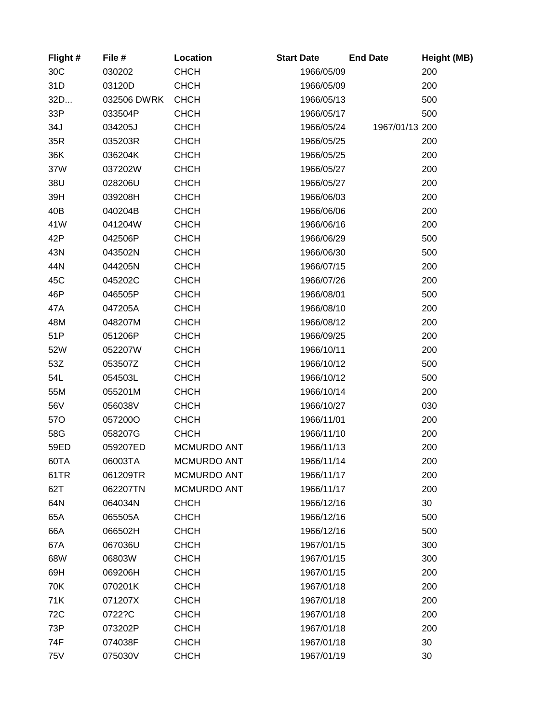| Flight#    | File #      | Location           | <b>Start Date</b> | <b>End Date</b> | Height (MB) |
|------------|-------------|--------------------|-------------------|-----------------|-------------|
| 30C        | 030202      | <b>CHCH</b>        | 1966/05/09        |                 | 200         |
| 31D        | 03120D      | <b>CHCH</b>        | 1966/05/09        |                 | 200         |
| 32D        | 032506 DWRK | <b>CHCH</b>        | 1966/05/13        |                 | 500         |
| 33P        | 033504P     | <b>CHCH</b>        | 1966/05/17        |                 | 500         |
| 34J        | 034205J     | <b>CHCH</b>        | 1966/05/24        | 1967/01/13 200  |             |
| 35R        | 035203R     | <b>CHCH</b>        | 1966/05/25        |                 | 200         |
| 36K        | 036204K     | <b>CHCH</b>        | 1966/05/25        |                 | 200         |
| 37W        | 037202W     | <b>CHCH</b>        | 1966/05/27        |                 | 200         |
| 38U        | 028206U     | <b>CHCH</b>        | 1966/05/27        |                 | 200         |
| 39H        | 039208H     | <b>CHCH</b>        | 1966/06/03        |                 | 200         |
| 40B        | 040204B     | <b>CHCH</b>        | 1966/06/06        |                 | 200         |
| 41W        | 041204W     | <b>CHCH</b>        | 1966/06/16        |                 | 200         |
| 42P        | 042506P     | <b>CHCH</b>        | 1966/06/29        |                 | 500         |
| 43N        | 043502N     | <b>CHCH</b>        | 1966/06/30        |                 | 500         |
| 44N        | 044205N     | <b>CHCH</b>        | 1966/07/15        |                 | 200         |
| 45C        | 045202C     | <b>CHCH</b>        | 1966/07/26        |                 | 200         |
| 46P        | 046505P     | <b>CHCH</b>        | 1966/08/01        |                 | 500         |
| 47A        | 047205A     | <b>CHCH</b>        | 1966/08/10        |                 | 200         |
| 48M        | 048207M     | <b>CHCH</b>        | 1966/08/12        |                 | 200         |
| 51P        | 051206P     | <b>CHCH</b>        | 1966/09/25        |                 | 200         |
| 52W        | 052207W     | <b>CHCH</b>        | 1966/10/11        |                 | 200         |
| 53Z        | 053507Z     | <b>CHCH</b>        | 1966/10/12        |                 | 500         |
| 54L        | 054503L     | <b>CHCH</b>        | 1966/10/12        |                 | 500         |
| 55M        | 055201M     | <b>CHCH</b>        | 1966/10/14        |                 | 200         |
| 56V        | 056038V     | <b>CHCH</b>        | 1966/10/27        |                 | 030         |
| <b>570</b> | 057200O     | <b>CHCH</b>        | 1966/11/01        |                 | 200         |
| 58G        | 058207G     | <b>CHCH</b>        | 1966/11/10        |                 | 200         |
| 59ED       | 059207ED    | <b>MCMURDO ANT</b> | 1966/11/13        |                 | 200         |
| 60TA       | 06003TA     | MCMURDO ANT        | 1966/11/14        |                 | 200         |
| 61TR       | 061209TR    | <b>MCMURDO ANT</b> | 1966/11/17        |                 | 200         |
| 62T        | 062207TN    | <b>MCMURDO ANT</b> | 1966/11/17        |                 | 200         |
| 64N        | 064034N     | <b>CHCH</b>        | 1966/12/16        |                 | 30          |
| 65A        | 065505A     | <b>CHCH</b>        | 1966/12/16        |                 | 500         |
| 66A        | 066502H     | <b>CHCH</b>        | 1966/12/16        |                 | 500         |
| 67A        | 067036U     | <b>CHCH</b>        | 1967/01/15        |                 | 300         |
| 68W        | 06803W      | <b>CHCH</b>        | 1967/01/15        |                 | 300         |
| 69H        | 069206H     | <b>CHCH</b>        | 1967/01/15        |                 | 200         |
| 70K        | 070201K     | <b>CHCH</b>        | 1967/01/18        |                 | 200         |
| 71K        | 071207X     | <b>CHCH</b>        | 1967/01/18        |                 | 200         |
| 72C        | 0722?C      | <b>CHCH</b>        | 1967/01/18        |                 | 200         |
| 73P        | 073202P     | <b>CHCH</b>        | 1967/01/18        |                 | 200         |
| 74F        | 074038F     | <b>CHCH</b>        | 1967/01/18        |                 | 30          |
| 75V        | 075030V     | <b>CHCH</b>        | 1967/01/19        |                 | 30          |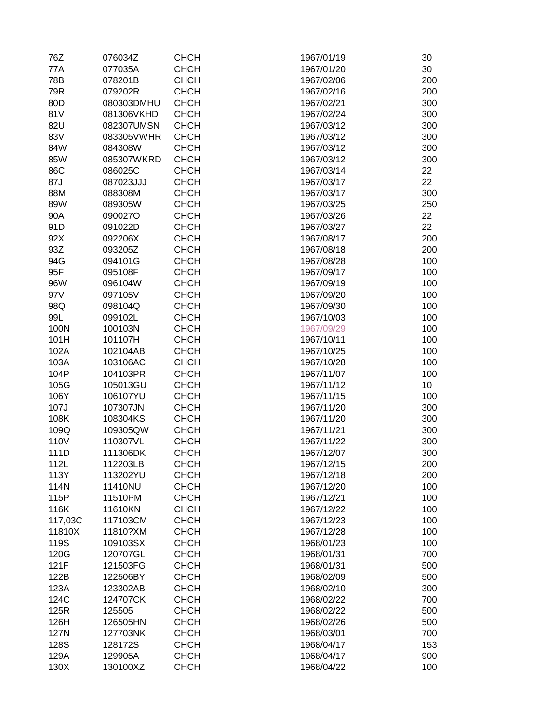| 76Z     | 076034Z    | <b>CHCH</b> | 1967/01/19 | 30  |
|---------|------------|-------------|------------|-----|
| 77A     | 077035A    | <b>CHCH</b> | 1967/01/20 | 30  |
| 78B     | 078201B    | <b>CHCH</b> | 1967/02/06 | 200 |
| 79R     | 079202R    | <b>CHCH</b> | 1967/02/16 | 200 |
| 80D     | 080303DMHU | <b>CHCH</b> | 1967/02/21 | 300 |
| 81V     | 081306VKHD | <b>CHCH</b> | 1967/02/24 | 300 |
| 82U     | 082307UMSN | <b>CHCH</b> | 1967/03/12 | 300 |
| 83V     | 083305VWHR | <b>CHCH</b> | 1967/03/12 | 300 |
| 84W     | 084308W    | <b>CHCH</b> | 1967/03/12 | 300 |
| 85W     | 085307WKRD | <b>CHCH</b> | 1967/03/12 | 300 |
| 86C     | 086025C    | <b>CHCH</b> | 1967/03/14 | 22  |
| 87J     | 087023JJJ  | <b>CHCH</b> | 1967/03/17 | 22  |
| 88M     | 088308M    | <b>CHCH</b> | 1967/03/17 | 300 |
|         |            |             |            |     |
| 89W     | 089305W    | <b>CHCH</b> | 1967/03/25 | 250 |
| 90A     | 090027O    | <b>CHCH</b> | 1967/03/26 | 22  |
| 91D     | 091022D    | <b>CHCH</b> | 1967/03/27 | 22  |
| 92X     | 092206X    | <b>CHCH</b> | 1967/08/17 | 200 |
| 93Z     | 093205Z    | <b>CHCH</b> | 1967/08/18 | 200 |
| 94G     | 094101G    | <b>CHCH</b> | 1967/08/28 | 100 |
| 95F     | 095108F    | <b>CHCH</b> | 1967/09/17 | 100 |
| 96W     | 096104W    | <b>CHCH</b> | 1967/09/19 | 100 |
| 97V     | 097105V    | <b>CHCH</b> | 1967/09/20 | 100 |
| 98Q     | 098104Q    | <b>CHCH</b> | 1967/09/30 | 100 |
| 99L     | 099102L    | <b>CHCH</b> | 1967/10/03 | 100 |
| 100N    | 100103N    | <b>CHCH</b> | 1967/09/29 | 100 |
| 101H    | 101107H    | <b>CHCH</b> | 1967/10/11 | 100 |
| 102A    | 102104AB   | <b>CHCH</b> | 1967/10/25 | 100 |
| 103A    | 103106AC   | <b>CHCH</b> | 1967/10/28 | 100 |
| 104P    | 104103PR   | <b>CHCH</b> | 1967/11/07 | 100 |
| 105G    | 105013GU   | <b>CHCH</b> | 1967/11/12 | 10  |
| 106Y    | 106107YU   | <b>CHCH</b> | 1967/11/15 | 100 |
| 107J    | 107307JN   | <b>CHCH</b> | 1967/11/20 | 300 |
| 108K    | 108304KS   | <b>CHCH</b> | 1967/11/20 | 300 |
| 109Q    | 109305QW   | <b>CHCH</b> | 1967/11/21 | 300 |
| 110V    | 110307VL   | <b>CHCH</b> | 1967/11/22 | 300 |
| 111D    | 111306DK   | <b>CHCH</b> | 1967/12/07 | 300 |
| 112L    | 112203LB   | <b>CHCH</b> | 1967/12/15 | 200 |
| 113Y    | 113202YU   | <b>CHCH</b> | 1967/12/18 | 200 |
| 114N    | 11410NU    | <b>CHCH</b> | 1967/12/20 | 100 |
| 115P    | 11510PM    | <b>CHCH</b> | 1967/12/21 | 100 |
| 116K    | 11610KN    | <b>CHCH</b> | 1967/12/22 | 100 |
| 117,03C | 117103CM   | <b>CHCH</b> | 1967/12/23 | 100 |
| 11810X  | 11810?XM   | <b>CHCH</b> | 1967/12/28 | 100 |
| 119S    | 109103SX   | <b>CHCH</b> | 1968/01/23 | 100 |
| 120G    | 120707GL   | <b>CHCH</b> | 1968/01/31 | 700 |
| 121F    | 121503FG   | <b>CHCH</b> | 1968/01/31 | 500 |
| 122B    | 122506BY   | <b>CHCH</b> | 1968/02/09 | 500 |
| 123A    | 123302AB   | <b>CHCH</b> | 1968/02/10 | 300 |
| 124C    | 124707CK   | <b>CHCH</b> | 1968/02/22 | 700 |
| 125R    | 125505     | <b>CHCH</b> | 1968/02/22 | 500 |
| 126H    | 126505HN   | <b>CHCH</b> | 1968/02/26 | 500 |
| 127N    | 127703NK   | <b>CHCH</b> | 1968/03/01 | 700 |
| 128S    | 128172S    | <b>CHCH</b> | 1968/04/17 | 153 |
| 129A    | 129905A    | <b>CHCH</b> | 1968/04/17 | 900 |
| 130X    | 130100XZ   | <b>CHCH</b> | 1968/04/22 | 100 |
|         |            |             |            |     |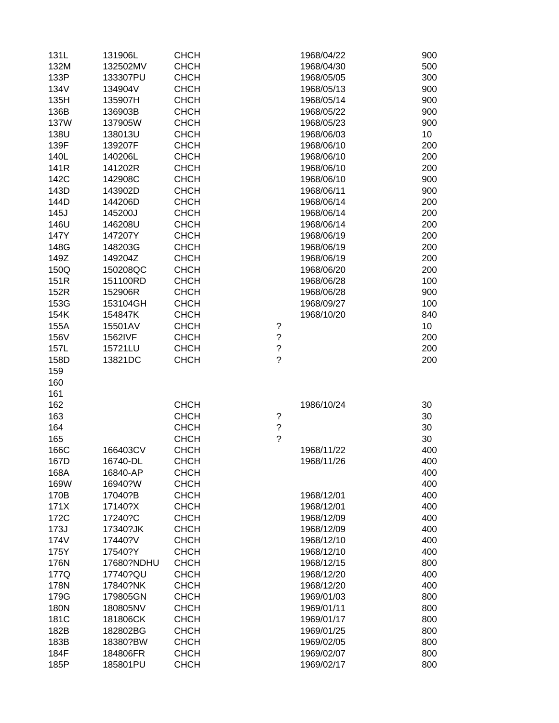| 131L | 131906L    | <b>CHCH</b> | 1968/04/22               | 900 |
|------|------------|-------------|--------------------------|-----|
| 132M | 132502MV   | <b>CHCH</b> | 1968/04/30               | 500 |
| 133P | 133307PU   | <b>CHCH</b> | 1968/05/05               | 300 |
| 134V | 134904V    | <b>CHCH</b> | 1968/05/13               | 900 |
| 135H | 135907H    | <b>CHCH</b> | 1968/05/14               | 900 |
| 136B | 136903B    | <b>CHCH</b> | 1968/05/22               | 900 |
| 137W | 137905W    | <b>CHCH</b> | 1968/05/23               | 900 |
| 138U | 138013U    | <b>CHCH</b> | 1968/06/03               | 10  |
| 139F | 139207F    | <b>CHCH</b> | 1968/06/10               | 200 |
| 140L | 140206L    | <b>CHCH</b> | 1968/06/10               | 200 |
| 141R | 141202R    | <b>CHCH</b> | 1968/06/10               | 200 |
| 142C | 142908C    | <b>CHCH</b> | 1968/06/10               | 900 |
| 143D | 143902D    | <b>CHCH</b> | 1968/06/11               | 900 |
| 144D | 144206D    | <b>CHCH</b> | 1968/06/14               | 200 |
| 145J | 145200J    | <b>CHCH</b> | 1968/06/14               | 200 |
| 146U | 146208U    | <b>CHCH</b> | 1968/06/14               | 200 |
| 147Y | 147207Y    | <b>CHCH</b> | 1968/06/19               | 200 |
| 148G | 148203G    | <b>CHCH</b> | 1968/06/19               | 200 |
| 149Z | 149204Z    | <b>CHCH</b> | 1968/06/19               | 200 |
| 150Q | 150208QC   | <b>CHCH</b> | 1968/06/20               | 200 |
| 151R | 151100RD   | <b>CHCH</b> | 1968/06/28               | 100 |
| 152R | 152906R    | <b>CHCH</b> | 1968/06/28               | 900 |
| 153G | 153104GH   | <b>CHCH</b> | 1968/09/27               | 100 |
| 154K | 154847K    | <b>CHCH</b> | 1968/10/20               | 840 |
| 155A | 15501AV    | <b>CHCH</b> | ?                        | 10  |
| 156V | 1562IVF    | <b>CHCH</b> | $\ddot{?}$               | 200 |
| 157L | 15721LU    | <b>CHCH</b> | $\overline{?}$           | 200 |
| 158D | 13821DC    | <b>CHCH</b> | $\overline{\mathcal{C}}$ | 200 |
| 159  |            |             |                          |     |
| 160  |            |             |                          |     |
| 161  |            |             |                          |     |
| 162  |            | <b>CHCH</b> | 1986/10/24               | 30  |
| 163  |            | <b>CHCH</b> | $\ddot{?}$               | 30  |
| 164  |            | <b>CHCH</b> | $\overline{\mathcal{C}}$ | 30  |
| 165  |            | <b>CHCH</b> | $\overline{\mathcal{C}}$ | 30  |
| 166C | 166403CV   | <b>CHCH</b> | 1968/11/22               | 400 |
| 167D | 16740-DL   | <b>CHCH</b> | 1968/11/26               | 400 |
| 168A | 16840-AP   | <b>CHCH</b> |                          | 400 |
| 169W | 16940?W    | <b>CHCH</b> |                          | 400 |
| 170B | 17040?B    | <b>CHCH</b> | 1968/12/01               | 400 |
| 171X | 17140?X    | <b>CHCH</b> | 1968/12/01               | 400 |
| 172C | 17240?C    | <b>CHCH</b> | 1968/12/09               | 400 |
| 173J | 17340?JK   | <b>CHCH</b> | 1968/12/09               | 400 |
| 174V | 17440?V    | <b>CHCH</b> | 1968/12/10               | 400 |
| 175Y | 17540?Y    | <b>CHCH</b> | 1968/12/10               | 400 |
| 176N | 17680?NDHU | <b>CHCH</b> | 1968/12/15               | 800 |
| 177Q | 17740?QU   | <b>CHCH</b> | 1968/12/20               | 400 |
| 178N | 17840?NK   | <b>CHCH</b> | 1968/12/20               | 400 |
| 179G | 179805GN   | <b>CHCH</b> | 1969/01/03               | 800 |
| 180N | 180805NV   | <b>CHCH</b> | 1969/01/11               | 800 |
| 181C | 181806CK   | <b>CHCH</b> | 1969/01/17               | 800 |
| 182B | 182802BG   | <b>CHCH</b> | 1969/01/25               | 800 |
| 183B | 18380?BW   | <b>CHCH</b> | 1969/02/05               | 800 |
| 184F | 184806FR   | <b>CHCH</b> | 1969/02/07               | 800 |
| 185P | 185801PU   | <b>CHCH</b> | 1969/02/17               | 800 |
|      |            |             |                          |     |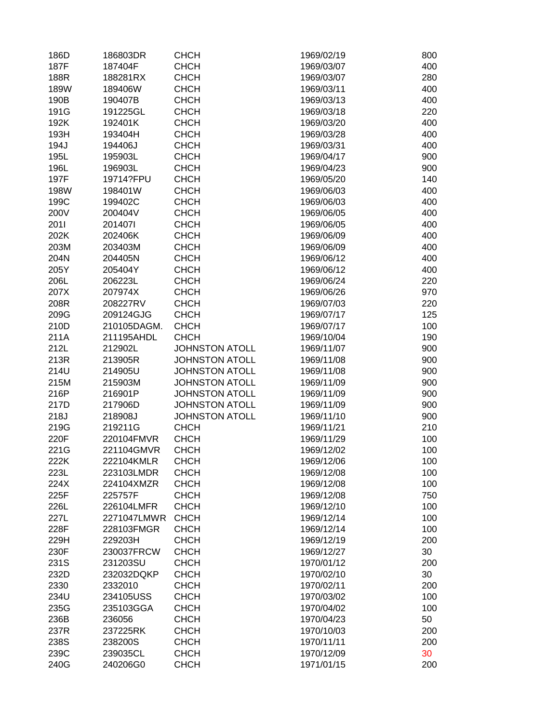| 186D | 186803DR    | <b>CHCH</b>           | 1969/02/19 | 800 |
|------|-------------|-----------------------|------------|-----|
| 187F | 187404F     | <b>CHCH</b>           | 1969/03/07 | 400 |
| 188R | 188281RX    | <b>CHCH</b>           | 1969/03/07 | 280 |
| 189W | 189406W     | <b>CHCH</b>           | 1969/03/11 | 400 |
| 190B | 190407B     | <b>CHCH</b>           | 1969/03/13 | 400 |
| 191G | 191225GL    | <b>CHCH</b>           | 1969/03/18 | 220 |
| 192K | 192401K     | <b>CHCH</b>           | 1969/03/20 | 400 |
| 193H | 193404H     | <b>CHCH</b>           | 1969/03/28 | 400 |
| 194J | 194406J     | <b>CHCH</b>           | 1969/03/31 | 400 |
| 195L | 195903L     | <b>CHCH</b>           | 1969/04/17 | 900 |
| 196L | 196903L     | <b>CHCH</b>           | 1969/04/23 | 900 |
| 197F | 19714?FPU   | <b>CHCH</b>           | 1969/05/20 | 140 |
| 198W | 198401W     | <b>CHCH</b>           | 1969/06/03 | 400 |
|      | 199402C     | <b>CHCH</b>           |            | 400 |
| 199C |             |                       | 1969/06/03 |     |
| 200V | 200404V     | <b>CHCH</b>           | 1969/06/05 | 400 |
| 2011 | 2014071     | <b>CHCH</b>           | 1969/06/05 | 400 |
| 202K | 202406K     | <b>CHCH</b>           | 1969/06/09 | 400 |
| 203M | 203403M     | <b>CHCH</b>           | 1969/06/09 | 400 |
| 204N | 204405N     | <b>CHCH</b>           | 1969/06/12 | 400 |
| 205Y | 205404Y     | <b>CHCH</b>           | 1969/06/12 | 400 |
| 206L | 206223L     | <b>CHCH</b>           | 1969/06/24 | 220 |
| 207X | 207974X     | <b>CHCH</b>           | 1969/06/26 | 970 |
| 208R | 208227RV    | <b>CHCH</b>           | 1969/07/03 | 220 |
| 209G | 209124GJG   | <b>CHCH</b>           | 1969/07/17 | 125 |
| 210D | 210105DAGM. | <b>CHCH</b>           | 1969/07/17 | 100 |
| 211A | 211195AHDL  | <b>CHCH</b>           | 1969/10/04 | 190 |
| 212L | 212902L     | <b>JOHNSTON ATOLL</b> | 1969/11/07 | 900 |
| 213R | 213905R     | <b>JOHNSTON ATOLL</b> | 1969/11/08 | 900 |
| 214U | 214905U     | <b>JOHNSTON ATOLL</b> | 1969/11/08 | 900 |
| 215M | 215903M     | <b>JOHNSTON ATOLL</b> | 1969/11/09 | 900 |
| 216P | 216901P     | <b>JOHNSTON ATOLL</b> | 1969/11/09 | 900 |
| 217D | 217906D     | <b>JOHNSTON ATOLL</b> | 1969/11/09 | 900 |
| 218J | 218908J     | <b>JOHNSTON ATOLL</b> | 1969/11/10 | 900 |
| 219G | 219211G     | <b>CHCH</b>           | 1969/11/21 | 210 |
| 220F | 220104FMVR  | <b>CHCH</b>           | 1969/11/29 | 100 |
| 221G | 221104GMVR  | <b>CHCH</b>           | 1969/12/02 | 100 |
| 222K | 222104KMLR  | <b>CHCH</b>           | 1969/12/06 | 100 |
| 223L | 223103LMDR  | <b>CHCH</b>           | 1969/12/08 | 100 |
| 224X | 224104XMZR  | <b>CHCH</b>           | 1969/12/08 | 100 |
| 225F | 225757F     | <b>CHCH</b>           | 1969/12/08 | 750 |
| 226L | 226104LMFR  | <b>CHCH</b>           | 1969/12/10 | 100 |
| 227L | 2271047LMWR | <b>CHCH</b>           | 1969/12/14 | 100 |
| 228F | 228103FMGR  | <b>CHCH</b>           | 1969/12/14 | 100 |
| 229H | 229203H     | <b>CHCH</b>           | 1969/12/19 | 200 |
| 230F | 230037FRCW  | <b>CHCH</b>           | 1969/12/27 | 30  |
| 231S | 231203SU    | <b>CHCH</b>           | 1970/01/12 | 200 |
| 232D | 232032DQKP  | <b>CHCH</b>           | 1970/02/10 | 30  |
| 2330 | 2332010     | <b>CHCH</b>           | 1970/02/11 | 200 |
| 234U | 234105USS   | <b>CHCH</b>           | 1970/03/02 | 100 |
| 235G | 235103GGA   | <b>CHCH</b>           | 1970/04/02 | 100 |
| 236B | 236056      | <b>CHCH</b>           | 1970/04/23 | 50  |
| 237R | 237225RK    | <b>CHCH</b>           | 1970/10/03 | 200 |
| 238S | 238200S     | <b>CHCH</b>           | 1970/11/11 | 200 |
| 239C | 239035CL    | <b>CHCH</b>           | 1970/12/09 | 30  |
| 240G | 240206G0    | <b>CHCH</b>           | 1971/01/15 | 200 |
|      |             |                       |            |     |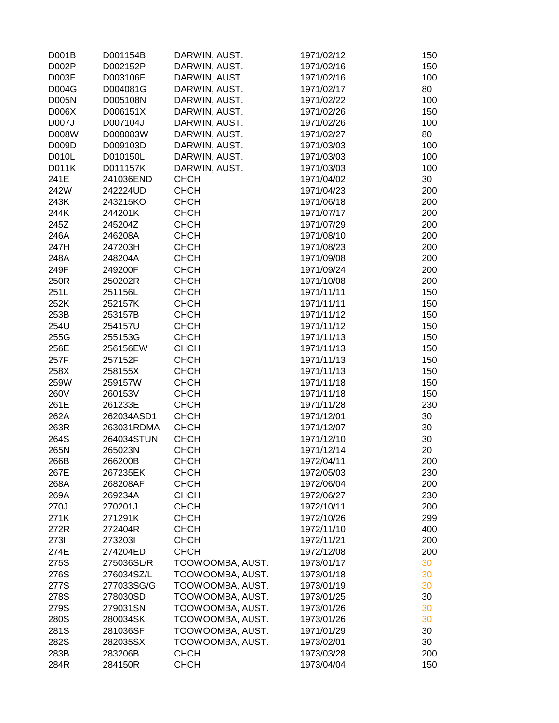| D001B        | D001154B   | DARWIN, AUST.    | 1971/02/12 | 150 |
|--------------|------------|------------------|------------|-----|
| D002P        | D002152P   | DARWIN, AUST.    | 1971/02/16 | 150 |
| D003F        | D003106F   | DARWIN, AUST.    | 1971/02/16 | 100 |
| D004G        | D004081G   | DARWIN, AUST.    | 1971/02/17 | 80  |
| <b>D005N</b> | D005108N   | DARWIN, AUST.    | 1971/02/22 | 100 |
| D006X        | D006151X   | DARWIN, AUST.    | 1971/02/26 | 150 |
| D007J        | D007104J   | DARWIN, AUST.    | 1971/02/26 | 100 |
| D008W        | D008083W   | DARWIN, AUST.    | 1971/02/27 | 80  |
| D009D        | D009103D   | DARWIN, AUST.    | 1971/03/03 | 100 |
| D010L        | D010150L   | DARWIN, AUST.    | 1971/03/03 | 100 |
| D011K        | D011157K   | DARWIN, AUST.    | 1971/03/03 | 100 |
| 241E         | 241036END  | <b>CHCH</b>      | 1971/04/02 | 30  |
| 242W         | 242224UD   | <b>CHCH</b>      | 1971/04/23 | 200 |
| 243K         | 243215KO   | <b>CHCH</b>      | 1971/06/18 | 200 |
| 244K         | 244201K    | <b>CHCH</b>      | 1971/07/17 | 200 |
| 245Z         | 245204Z    | <b>CHCH</b>      | 1971/07/29 | 200 |
| 246A         | 246208A    | <b>CHCH</b>      | 1971/08/10 | 200 |
| 247H         | 247203H    | <b>CHCH</b>      | 1971/08/23 | 200 |
| 248A         | 248204A    | <b>CHCH</b>      | 1971/09/08 | 200 |
| 249F         | 249200F    | <b>CHCH</b>      | 1971/09/24 | 200 |
| 250R         | 250202R    | <b>CHCH</b>      | 1971/10/08 | 200 |
| 251L         | 251156L    | <b>CHCH</b>      | 1971/11/11 | 150 |
| 252K         | 252157K    | <b>CHCH</b>      | 1971/11/11 | 150 |
| 253B         | 253157B    | <b>CHCH</b>      | 1971/11/12 | 150 |
| 254U         | 254157U    | <b>CHCH</b>      | 1971/11/12 | 150 |
| 255G         | 255153G    | <b>CHCH</b>      | 1971/11/13 | 150 |
| 256E         | 256156EW   | <b>CHCH</b>      | 1971/11/13 | 150 |
| 257F         | 257152F    | <b>CHCH</b>      | 1971/11/13 | 150 |
| 258X         | 258155X    | <b>CHCH</b>      | 1971/11/13 | 150 |
| 259W         | 259157W    | <b>CHCH</b>      | 1971/11/18 | 150 |
| 260V         | 260153V    | <b>CHCH</b>      | 1971/11/18 | 150 |
| 261E         | 261233E    | <b>CHCH</b>      | 1971/11/28 | 230 |
| 262A         | 262034ASD1 | <b>CHCH</b>      | 1971/12/01 | 30  |
| 263R         | 263031RDMA | <b>CHCH</b>      | 1971/12/07 | 30  |
| 264S         | 264034STUN | <b>CHCH</b>      | 1971/12/10 | 30  |
| 265N         | 265023N    | <b>CHCH</b>      | 1971/12/14 | 20  |
|              |            | <b>CHCH</b>      | 1972/04/11 | 200 |
| 266B         | 266200B    |                  |            |     |
| 267E         | 267235EK   | <b>CHCH</b>      | 1972/05/03 | 230 |
| 268A         | 268208AF   | <b>CHCH</b>      | 1972/06/04 | 200 |
| 269A         | 269234A    | <b>CHCH</b>      | 1972/06/27 | 230 |
| 270J         | 270201J    | <b>CHCH</b>      | 1972/10/11 | 200 |
| 271K         | 271291K    | <b>CHCH</b>      | 1972/10/26 | 299 |
| 272R         | 272404R    | <b>CHCH</b>      | 1972/11/10 | 400 |
| 2731         | 2732031    | <b>CHCH</b>      | 1972/11/21 | 200 |
| 274E         | 274204ED   | <b>CHCH</b>      | 1972/12/08 | 200 |
| 275S         | 275036SL/R | TOOWOOMBA, AUST. | 1973/01/17 | 30  |
| 276S         | 276034SZ/L | TOOWOOMBA, AUST. | 1973/01/18 | 30  |
| 277S         | 277033SG/G | TOOWOOMBA, AUST. | 1973/01/19 | 30  |
| 278S         | 278030SD   | TOOWOOMBA, AUST. | 1973/01/25 | 30  |
| 279S         | 279031SN   | TOOWOOMBA, AUST. | 1973/01/26 | 30  |
| 280S         | 280034SK   | TOOWOOMBA, AUST. | 1973/01/26 | 30  |
| 281S         | 281036SF   | TOOWOOMBA, AUST. | 1971/01/29 | 30  |
| 282S         | 282035SX   | TOOWOOMBA, AUST. | 1973/02/01 | 30  |
| 283B         | 283206B    | <b>CHCH</b>      | 1973/03/28 | 200 |
| 284R         | 284150R    | <b>CHCH</b>      | 1973/04/04 | 150 |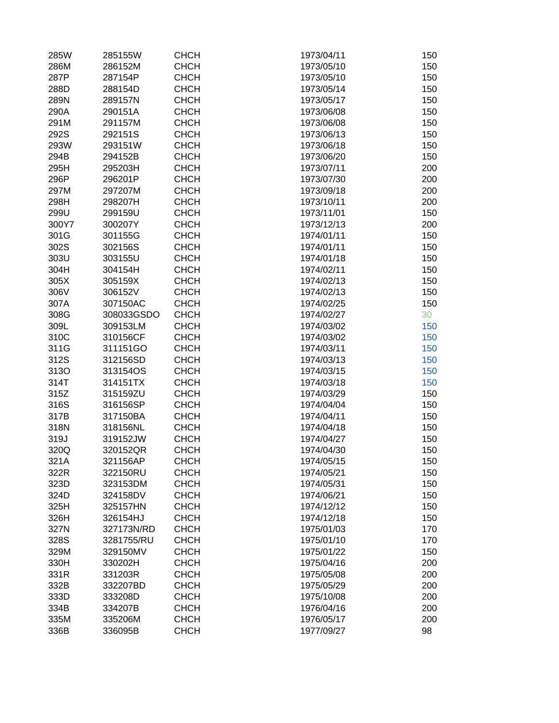| 285W  | 285155W    | <b>CHCH</b> | 1973/04/11 | 150 |
|-------|------------|-------------|------------|-----|
| 286M  | 286152M    | <b>CHCH</b> | 1973/05/10 | 150 |
| 287P  | 287154P    | <b>CHCH</b> | 1973/05/10 | 150 |
| 288D  | 288154D    | <b>CHCH</b> | 1973/05/14 | 150 |
| 289N  | 289157N    | <b>CHCH</b> | 1973/05/17 | 150 |
| 290A  | 290151A    | <b>CHCH</b> | 1973/06/08 | 150 |
| 291M  | 291157M    | <b>CHCH</b> | 1973/06/08 | 150 |
| 292S  | 292151S    | <b>CHCH</b> | 1973/06/13 | 150 |
| 293W  | 293151W    | <b>CHCH</b> | 1973/06/18 | 150 |
| 294B  | 294152B    | <b>CHCH</b> | 1973/06/20 | 150 |
| 295H  | 295203H    | <b>CHCH</b> | 1973/07/11 | 200 |
| 296P  | 296201P    | <b>CHCH</b> | 1973/07/30 | 200 |
| 297M  | 297207M    | <b>CHCH</b> | 1973/09/18 | 200 |
| 298H  | 298207H    | <b>CHCH</b> | 1973/10/11 | 200 |
| 299U  | 299159U    | <b>CHCH</b> | 1973/11/01 | 150 |
|       |            |             |            |     |
| 300Y7 | 300207Y    | <b>CHCH</b> | 1973/12/13 | 200 |
| 301G  | 301155G    | <b>CHCH</b> | 1974/01/11 | 150 |
| 302S  | 302156S    | <b>CHCH</b> | 1974/01/11 | 150 |
| 303U  | 303155U    | <b>CHCH</b> | 1974/01/18 | 150 |
| 304H  | 304154H    | <b>CHCH</b> | 1974/02/11 | 150 |
| 305X  | 305159X    | <b>CHCH</b> | 1974/02/13 | 150 |
| 306V  | 306152V    | <b>CHCH</b> | 1974/02/13 | 150 |
| 307A  | 307150AC   | <b>CHCH</b> | 1974/02/25 | 150 |
| 308G  | 308033GSDO | <b>CHCH</b> | 1974/02/27 | 30  |
| 309L  | 309153LM   | <b>CHCH</b> | 1974/03/02 | 150 |
| 310C  | 310156CF   | <b>CHCH</b> | 1974/03/02 | 150 |
| 311G  | 311151GO   | <b>CHCH</b> | 1974/03/11 | 150 |
| 312S  | 312156SD   | <b>CHCH</b> | 1974/03/13 | 150 |
| 313O  | 313154OS   | <b>CHCH</b> | 1974/03/15 | 150 |
| 314T  | 314151TX   | <b>CHCH</b> | 1974/03/18 | 150 |
| 315Z  | 315159ZU   | <b>CHCH</b> | 1974/03/29 | 150 |
| 316S  | 316156SP   | <b>CHCH</b> | 1974/04/04 | 150 |
| 317B  | 317150BA   | <b>CHCH</b> | 1974/04/11 | 150 |
| 318N  | 318156NL   | <b>CHCH</b> | 1974/04/18 | 150 |
| 319J  | 319152JW   | <b>CHCH</b> | 1974/04/27 | 150 |
| 320Q  | 320152QR   | <b>CHCH</b> | 1974/04/30 | 150 |
| 321A  | 321156AP   | <b>CHCH</b> | 1974/05/15 | 150 |
| 322R  | 322150RU   | <b>CHCH</b> | 1974/05/21 | 150 |
| 323D  | 323153DM   | <b>CHCH</b> | 1974/05/31 | 150 |
| 324D  | 324158DV   | <b>CHCH</b> | 1974/06/21 | 150 |
| 325H  | 325157HN   | <b>CHCH</b> | 1974/12/12 | 150 |
| 326H  | 326154HJ   | <b>CHCH</b> | 1974/12/18 | 150 |
| 327N  | 327173N/RD | <b>CHCH</b> | 1975/01/03 | 170 |
| 328S  | 3281755/RU | <b>CHCH</b> | 1975/01/10 | 170 |
| 329M  | 329150MV   | <b>CHCH</b> | 1975/01/22 | 150 |
| 330H  | 330202H    | <b>CHCH</b> | 1975/04/16 | 200 |
| 331R  | 331203R    | <b>CHCH</b> | 1975/05/08 | 200 |
| 332B  | 332207BD   | <b>CHCH</b> | 1975/05/29 | 200 |
| 333D  | 333208D    | <b>CHCH</b> | 1975/10/08 | 200 |
| 334B  | 334207B    | <b>CHCH</b> | 1976/04/16 | 200 |
| 335M  | 335206M    | <b>CHCH</b> | 1976/05/17 | 200 |
| 336B  | 336095B    | <b>CHCH</b> | 1977/09/27 | 98  |
|       |            |             |            |     |